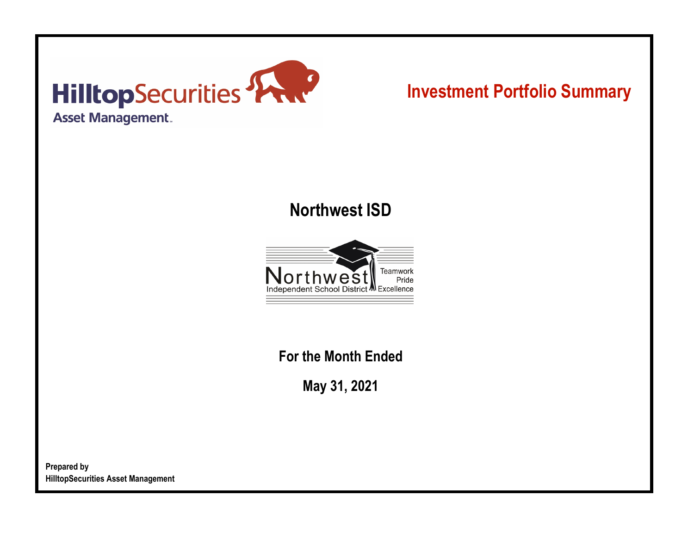

# **Investment Portfolio Summary**

## **Northwest ISD**



**For the Month Ended**

**May 31, 2021**

**Prepared by HilltopSecurities Asset Management**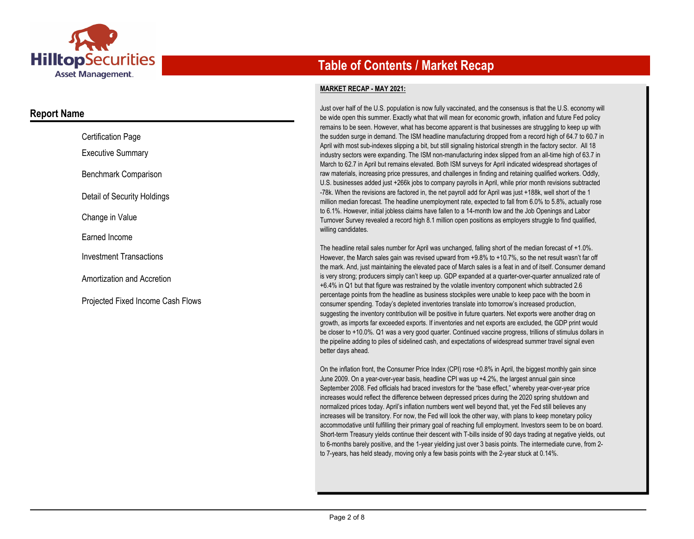

### **Report Name**

| <b>Certification Page</b>                |
|------------------------------------------|
| <b>Executive Summary</b>                 |
| <b>Benchmark Comparison</b>              |
| Detail of Security Holdings              |
| Change in Value                          |
| Earned Income                            |
| <b>Investment Transactions</b>           |
| Amortization and Accretion               |
| <b>Projected Fixed Income Cash Flows</b> |

## **Table of Contents / Market Recap**

#### **MARKET RECAP - MAY 2021:**

Just over half of the U.S. population is now fully vaccinated, and the consensus is that the U.S. economy will be wide open this summer. Exactly what that will mean for economic growth, inflation and future Fed policy remains to be seen. However, what has become apparent is that businesses are struggling to keep up with the sudden surge in demand. The ISM headline manufacturing dropped from a record high of 64.7 to 60.7 in April with most sub-indexes slipping a bit, but still signaling historical strength in the factory sector. All 18 industry sectors were expanding. The ISM non-manufacturing index slipped from an all-time high of 63.7 in March to 62.7 in April but remains elevated. Both ISM surveys for April indicated widespread shortages of raw materials, increasing price pressures, and challenges in finding and retaining qualified workers. Oddly, U.S. businesses added just +266k jobs to company payrolls in April, while prior month revisions subtracted -78k. When the revisions are factored in, the net payroll add for April was just +188k, well short of the 1 million median forecast. The headline unemployment rate, expected to fall from 6.0% to 5.8%, actually rose to 6.1%. However, initial jobless claims have fallen to a 14-month low and the Job Openings and Labor Turnover Survey revealed a record high 8.1 million open positions as employers struggle to find qualified, willing candidates.

The headline retail sales number for April was unchanged, falling short of the median forecast of +1.0%. However, the March sales gain was revised upward from +9.8% to +10.7%, so the net result wasn't far off the mark. And, just maintaining the elevated pace of March sales is a feat in and of itself. Consumer demand is very strong; producers simply can't keep up. GDP expanded at a quarter-over-quarter annualized rate of +6.4% in Q1 but that figure was restrained by the volatile inventory component which subtracted 2.6 percentage points from the headline as business stockpiles were unable to keep pace with the boom in consumer spending. Today's depleted inventories translate into tomorrow's increased production, suggesting the inventory contribution will be positive in future quarters. Net exports were another drag on growth, as imports far exceeded exports. If inventories and net exports are excluded, the GDP print would be closer to +10.0%. Q1 was a very good quarter. Continued vaccine progress, trillions of stimulus dollars in the pipeline adding to piles of sidelined cash, and expectations of widespread summer travel signal even better days ahead.

On the inflation front, the Consumer Price Index (CPI) rose +0.8% in April, the biggest monthly gain since June 2009. On a year-over-year basis, headline CPI was up +4.2%, the largest annual gain since September 2008. Fed officials had braced investors for the "base effect," whereby year-over-year price increases would reflect the difference between depressed prices during the 2020 spring shutdown and normalized prices today. April's inflation numbers went well beyond that, yet the Fed still believes any increases will be transitory. For now, the Fed will look the other way, with plans to keep monetary policy accommodative until fulfilling their primary goal of reaching full employment. Investors seem to be on board. Short-term Treasury yields continue their descent with T-bills inside of 90 days trading at negative yields, out to 6-months barely positive, and the 1-year yielding just over 3 basis points. The intermediate curve, from 2 to 7-years, has held steady, moving only a few basis points with the 2-year stuck at 0.14%.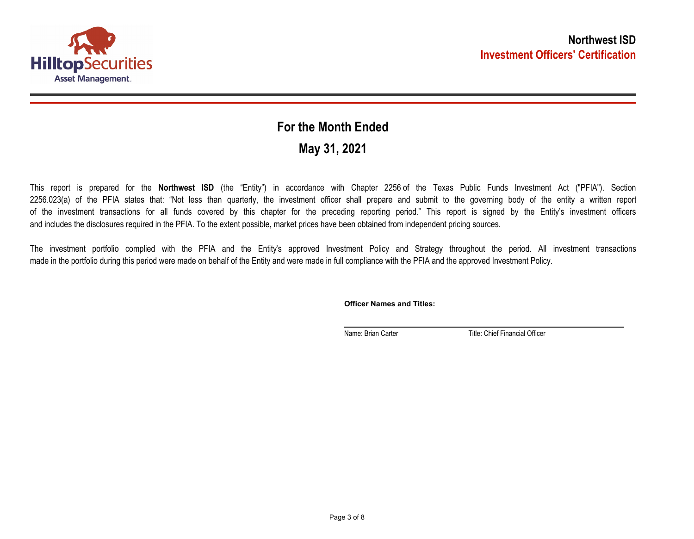

## **May 31, 2021 For the Month Ended**

This report is prepared for the **Northwest ISD** (the "Entity") in accordance with Chapter 2256 of the Texas Public Funds Investment Act ("PFIA"). Section 2256.023(a) of the PFIA states that: "Not less than quarterly, the investment officer shall prepare and submit to the governing body of the entity a written report of the investment transactions for all funds covered by this chapter for the preceding reporting period." This report is signed by the Entity's investment officers and includes the disclosures required in the PFIA. To the extent possible, market prices have been obtained from independent pricing sources.

The investment portfolio complied with the PFIA and the Entity's approved Investment Policy and Strategy throughout the period. All investment transactions made in the portfolio during this period were made on behalf of the Entity and were made in full compliance with the PFIA and the approved Investment Policy.

**Officer Names and Titles:**

Name: Brian Carter Title: Chief Financial Officer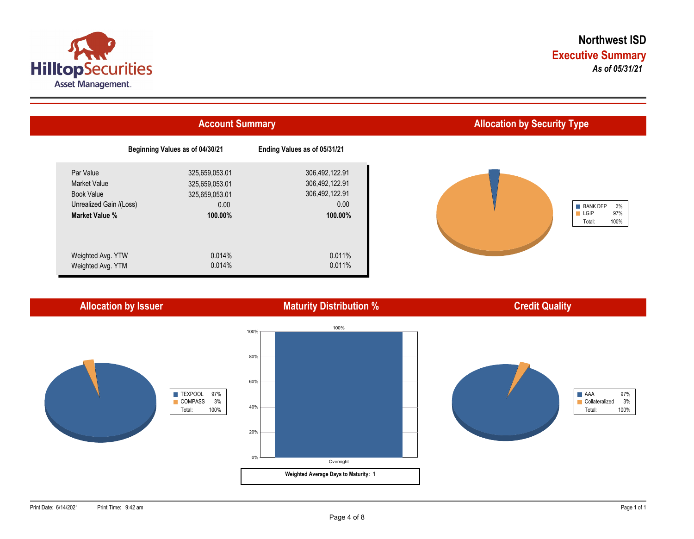



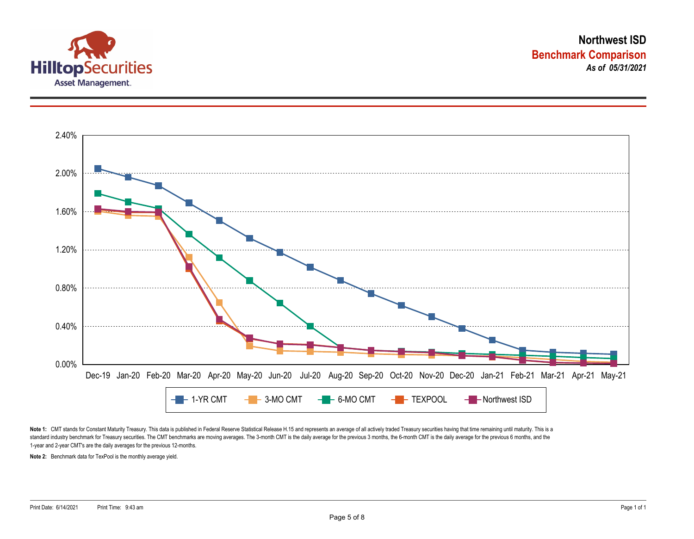



Note 1: CMT stands for Constant Maturity Treasury. This data is published in Federal Reserve Statistical Release H.15 and represents an average of all actively traded Treasury securities having that time remaining until ma standard industry benchmark for Treasury securities. The CMT benchmarks are moving averages. The 3-month CMT is the daily average for the previous 3 months, the 6-month CMT is the daily average for the previous 6 months, a 1-year and 2-year CMT's are the daily averages for the previous 12-months.

**Note 2:** Benchmark data for TexPool is the monthly average yield.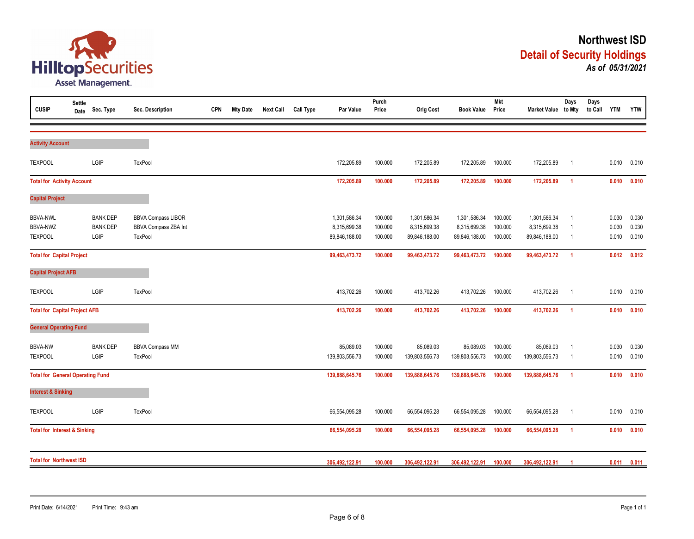

| <b>CUSIP</b>                                         | <b>Settle</b><br>Date | Sec. Type                                  | Sec. Description                                             | <b>CPN</b> | <b>Mty Date</b> | <b>Next Call</b> | <b>Call Type</b> | Par Value                                     | Purch<br>Price                | <b>Orig Cost</b>                              | <b>Book Value</b>                             | <b>Mkt</b><br>Price           | Market Value to Mty                           | Days                                    | Days<br>to Call | <b>YTM</b>              | <b>YTW</b>              |
|------------------------------------------------------|-----------------------|--------------------------------------------|--------------------------------------------------------------|------------|-----------------|------------------|------------------|-----------------------------------------------|-------------------------------|-----------------------------------------------|-----------------------------------------------|-------------------------------|-----------------------------------------------|-----------------------------------------|-----------------|-------------------------|-------------------------|
| <b>Activity Account</b>                              |                       |                                            |                                                              |            |                 |                  |                  |                                               |                               |                                               |                                               |                               |                                               |                                         |                 |                         |                         |
| <b>TEXPOOL</b>                                       |                       | LGIP                                       | TexPool                                                      |            |                 |                  |                  | 172,205.89                                    | 100.000                       | 172,205.89                                    | 172,205.89                                    | 100.000                       | 172,205.89                                    | $\overline{1}$                          |                 | 0.010                   | 0.010                   |
| <b>Total for Activity Account</b>                    |                       |                                            |                                                              |            |                 |                  |                  | 172,205.89                                    | 100.000                       | 172,205.89                                    | 172,205.89                                    | 100.000                       | 172,205.89                                    | $\overline{1}$                          |                 | 0.010                   | 0.010                   |
| <b>Capital Project</b>                               |                       |                                            |                                                              |            |                 |                  |                  |                                               |                               |                                               |                                               |                               |                                               |                                         |                 |                         |                         |
| <b>BBVA-NWL</b><br><b>BBVA-NWZ</b><br><b>TEXPOOL</b> |                       | <b>BANK DEP</b><br><b>BANK DEP</b><br>LGIP | <b>BBVA Compass LIBOR</b><br>BBVA Compass ZBA Int<br>TexPool |            |                 |                  |                  | 1,301,586.34<br>8,315,699.38<br>89,846,188.00 | 100.000<br>100.000<br>100.000 | 1,301,586.34<br>8,315,699.38<br>89,846,188.00 | 1,301,586.34<br>8,315,699.38<br>89,846,188.00 | 100.000<br>100.000<br>100.000 | 1,301,586.34<br>8,315,699.38<br>89,846,188.00 | - 1<br>$\overline{1}$<br>$\overline{1}$ |                 | 0.030<br>0.030<br>0.010 | 0.030<br>0.030<br>0.010 |
| <b>Total for Capital Project</b>                     |                       |                                            |                                                              |            |                 |                  |                  | 99,463,473.72                                 | 100.000                       | 99,463,473.72                                 | 99,463,473.72                                 | 100.000                       | 99,463,473.72                                 | $\overline{1}$                          |                 | 0.012                   | 0.012                   |
| <b>Capital Project AFB</b>                           |                       |                                            |                                                              |            |                 |                  |                  |                                               |                               |                                               |                                               |                               |                                               |                                         |                 |                         |                         |
| <b>TEXPOOL</b>                                       |                       | LGIP                                       | TexPool                                                      |            |                 |                  |                  | 413,702.26                                    | 100.000                       | 413,702.26                                    | 413,702.26                                    | 100.000                       | 413,702.26                                    | $\overline{1}$                          |                 | 0.010                   | 0.010                   |
| <b>Total for Capital Project AFB</b>                 |                       |                                            |                                                              |            |                 |                  |                  | 413,702.26                                    | 100.000                       | 413,702.26                                    | 413,702.26                                    | 100.000                       | 413,702.26                                    | $\overline{1}$                          |                 | 0.010                   | 0.010                   |
| <b>General Operating Fund</b>                        |                       |                                            |                                                              |            |                 |                  |                  |                                               |                               |                                               |                                               |                               |                                               |                                         |                 |                         |                         |
| <b>BBVA-NW</b><br><b>TEXPOOL</b>                     |                       | <b>BANK DEP</b><br>LGIP                    | <b>BBVA Compass MM</b><br>TexPool                            |            |                 |                  |                  | 85,089.03<br>139,803,556.73                   | 100.000<br>100.000            | 85,089.03<br>139,803,556.73                   | 85,089.03<br>139,803,556.73                   | 100.000<br>100.000            | 85,089.03<br>139,803,556.73                   | $\overline{1}$<br>$\overline{1}$        |                 | 0.030<br>0.010          | 0.030<br>0.010          |
| <b>Total for General Operating Fund</b>              |                       |                                            |                                                              |            |                 |                  |                  | 139,888,645.76                                | 100.000                       | 139,888,645.76                                | 139,888,645.76                                | 100.000                       | 139,888,645.76                                | $\overline{1}$                          |                 | 0.010                   | 0.010                   |
| <b>Interest &amp; Sinking</b>                        |                       |                                            |                                                              |            |                 |                  |                  |                                               |                               |                                               |                                               |                               |                                               |                                         |                 |                         |                         |
| <b>TEXPOOL</b>                                       |                       | LGIP                                       | TexPool                                                      |            |                 |                  |                  | 66,554,095.28                                 | 100.000                       | 66,554,095.28                                 | 66,554,095.28                                 | 100.000                       | 66,554,095.28                                 | $\overline{1}$                          |                 | 0.010                   | 0.010                   |
| <b>Total for Interest &amp; Sinking</b>              |                       |                                            |                                                              |            |                 |                  |                  | 66,554,095.28                                 | 100.000                       | 66,554,095.28                                 | 66,554,095.28                                 | 100.000                       | 66,554,095.28                                 | $\overline{1}$                          |                 | 0.010                   | 0.010                   |
| <b>Total for Northwest ISD</b>                       |                       |                                            |                                                              |            |                 | 306,492,122.91   | 100.000          | 306,492,122.91                                | 306,492,122.91                | 100.000                                       | 306,492,122.91                                | -1                            |                                               | 0.011                                   | 0.011           |                         |                         |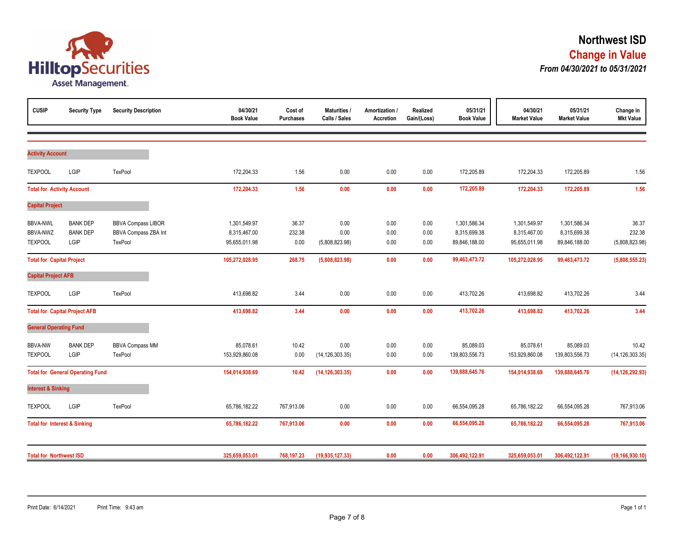

| <b>CUSIP</b>                            | <b>Security Type</b>                    | <b>Security Description</b> | 04/30/21<br><b>Book Value</b> | Cost of<br><b>Purchases</b> | <b>Maturities /</b><br>Calls / Sales | Amortization /<br>Accretion | Realized<br>Gain/(Loss) | 05/31/21<br><b>Book Value</b> | 04/30/21<br><b>Market Value</b> | 05/31/21<br><b>Market Value</b> | Change in<br><b>Mkt Value</b> |
|-----------------------------------------|-----------------------------------------|-----------------------------|-------------------------------|-----------------------------|--------------------------------------|-----------------------------|-------------------------|-------------------------------|---------------------------------|---------------------------------|-------------------------------|
|                                         |                                         |                             |                               |                             |                                      |                             |                         |                               |                                 |                                 |                               |
| <b>Activity Account</b>                 |                                         |                             |                               |                             |                                      |                             |                         |                               |                                 |                                 |                               |
| <b>TEXPOOL</b>                          | LGIP                                    | TexPool                     | 172,204.33                    | 1.56                        | 0.00                                 | 0.00                        | 0.00                    | 172,205.89                    | 172,204.33                      | 172,205.89                      | 1.56                          |
| <b>Total for Activity Account</b>       |                                         |                             | 172,204.33                    | 1.56                        | 0.00                                 | 0.00                        | 0.00                    | 172,205.89                    | 172,204.33                      | 172,205.89                      | 1.56                          |
| <b>Capital Project</b>                  |                                         |                             |                               |                             |                                      |                             |                         |                               |                                 |                                 |                               |
| <b>BBVA-NWL</b>                         | <b>BANK DEP</b>                         | <b>BBVA Compass LIBOR</b>   | 1,301,549.97                  | 36.37                       | 0.00                                 | 0.00                        | 0.00                    | 1,301,586.34                  | 1,301,549.97                    | 1,301,586.34                    | 36.37                         |
| BBVA-NWZ                                | <b>BANK DEP</b>                         | BBVA Compass ZBA Int        | 8,315,467.00                  | 232.38                      | 0.00                                 | 0.00                        | 0.00                    | 8,315,699.38                  | 8,315,467.00                    | 8,315,699.38                    | 232.38                        |
| <b>TEXPOOL</b>                          | LGIP                                    | TexPool                     | 95,655,011.98                 | 0.00                        | (5,808,823.98)                       | 0.00                        | 0.00                    | 89,846,188.00                 | 95,655,011.98                   | 89,846,188.00                   | (5,808,823.98)                |
| <b>Total for Capital Project</b>        |                                         |                             | 105,272,028.95                | 268.75                      | (5,808,823.98)                       | 0.00                        | 0.00                    | 99,463,473.72                 | 105,272,028.95                  | 99,463,473.72                   | (5,808,555.23)                |
| <b>Capital Project AFB</b>              |                                         |                             |                               |                             |                                      |                             |                         |                               |                                 |                                 |                               |
| <b>TEXPOOL</b>                          | LGIP                                    | TexPool                     | 413,698.82                    | 3.44                        | 0.00                                 | 0.00                        | 0.00                    | 413,702.26                    | 413,698.82                      | 413,702.26                      | 3.44                          |
|                                         | <b>Total for Capital Project AFB</b>    |                             | 413,698.82                    | 3.44                        | 0.00                                 | 0.00                        | 0.00                    | 413,702.26                    | 413,698.82                      | 413,702.26                      | 3.44                          |
| <b>General Operating Fund</b>           |                                         |                             |                               |                             |                                      |                             |                         |                               |                                 |                                 |                               |
| <b>BBVA-NW</b>                          | <b>BANK DEP</b>                         | <b>BBVA Compass MM</b>      | 85,078.61                     | 10.42                       | 0.00                                 | 0.00                        | 0.00                    | 85,089.03                     | 85,078.61                       | 85,089.03                       | 10.42                         |
| <b>TEXPOOL</b>                          | LGIP                                    | TexPool                     | 153,929,860.08                | 0.00                        | (14, 126, 303.35)                    | 0.00                        | 0.00                    | 139,803,556.73                | 153,929,860.08                  | 139,803,556.73                  | (14, 126, 303.35)             |
|                                         | <b>Total for General Operating Fund</b> |                             | 154,014,938.69                | 10.42                       | (14, 126, 303.35)                    | 0.00                        | 0.00                    | 139,888,645.76                | 154,014,938.69                  | 139,888,645.76                  | (14, 126, 292.93)             |
| <b>Interest &amp; Sinking</b>           |                                         |                             |                               |                             |                                      |                             |                         |                               |                                 |                                 |                               |
| <b>TEXPOOL</b>                          | LGIP                                    | TexPool                     | 65,786,182.22                 | 767,913.06                  | 0.00                                 | 0.00                        | 0.00                    | 66,554,095.28                 | 65,786,182.22                   | 66,554,095.28                   | 767,913.06                    |
| <b>Total for Interest &amp; Sinking</b> |                                         |                             | 65,786,182.22                 | 767,913.06                  | 0.00                                 | 0.00                        | 0.00                    | 66,554,095.28                 | 65,786,182.22                   | 66,554,095.28                   | 767,913.06                    |
| <b>Total for Northwest ISD</b>          |                                         |                             | 325,659,053.01                | 768,197.23                  | (19, 935, 127.33)                    | 0.00                        | 0.00                    | 306,492,122.91                | 325,659,053.01                  | 306,492,122.91                  | (19, 166, 930.10)             |